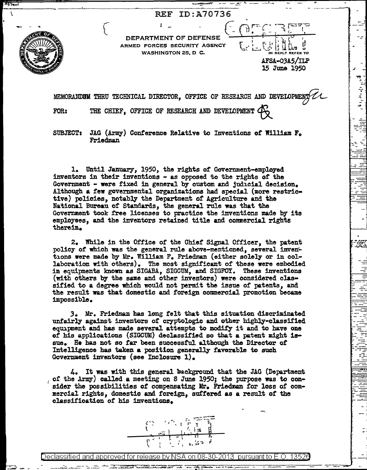**REF ID: A70736** 

AFSA-03A5/ILP 15 June 1950

Ī



 $25 - 4$ 

Å

DEPARTMENT OF DEFENSE ARMED FORCES SECURITY AGENCY **WASHINGTON 25, D C.** 

MEMORANDUM THRU TECHNICAL DIRECTOR. OFFICE OF RESEARCH AND DEVELOPMENT 2

THE CHIEF. OFFICE OF RESEARCH AND DEVELOPMENT  $\Phi$ FOR:

**SUBJECT:** JAG (Army) Conference Relative to Inventions of William F. Friedman

1. Until January, 1950, the rights of Government-employed inventors in their inventions - as opposed to the rights of the Government - were fixed in general by custom and judicial decision. Although a few governmental organizations had special (more restrictive) policies, notably the Department of Agriculture and the National Bureau of Standards, the general rule was that the Government took free licenses to practice the inventions made by its employees, and the inventors retained title and commercial rights therein.

2. While in the Office of the Chief Signal Officer, the patent policy of which was the general rule above-mentioned, several inventions were made by Mr. William F. Friedman (either solely or in collaboration with others). The most significant of these were embodied in equipments known as SIGABA, SIGCUM, and SIGFOY. These inventions (with others by the same and other inventors) were considered classified to a degree which would not permit the issue of patents, and the result was that domestic and foreign commercial promotion became impossible.

3. Mr. Friedman has long felt that this situation discriminated unfairly against inventors of cryptologic and other highly-classified equipment and has made several attempts to modify it and to have one of his applications (SIGCUM) declassified so that a patent might issue. He has not so far been successful although the Director of Intelligence has taken a position generally favorable to such Government inventors (see Inclosure 1).

4. It was with this general background that the JAG (Department of the Army) called a meeting on 8 June 1950; the purpose was to consider the possibilities of compensating Mr. Friedman for loss of commercial rights, domestic and foreign, suffered as a result of the classification of his inventions.



Declassified and approved for release by NSA on 08-30-2013  $\,$  pursuant to E.O  $\,$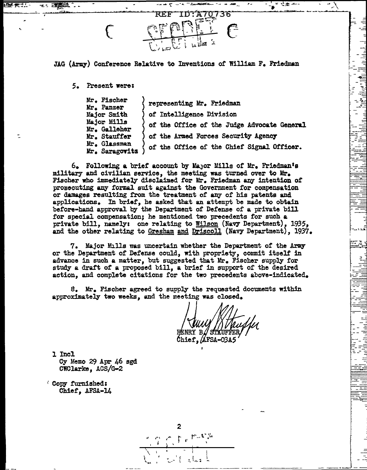JAG (Army) Conference Relative to Inventions of William F. Friedman

REF

5. Present were:

大阪 おこ

 $\epsilon$ 

Mr. Fischer ) Mr. Panzer ) Major Smith Major Milla ) Mr. Galleher ) Mr. Stauffer Mr. Glassman ) Mr. SaragoYitz ) representing Mr. Friedman of Intelligence Division of the Office of the Judge Advocate General of the Armed Forces Security Ageney of the Office of the Chief' Signal Officer.

جهار في

6. Following a brief account by Major Mills of Mr. Friedman's military and civilian service, the meeting was turned over to Mr. Fischer who immediately disclaimed for Mr. Friedman any intention or prosecuting any formal suit against the Government for compensation or damages resulting from the treatment of any of his patents and applications. In brier, he asked that an attempt be made to obtain before-band approval by the Department of Defense of a private bill for special compensation; he mentioned two precedents for such a private bill, namely: one relating to  $N$ ilson (Navy Department), 1935, and the other relating to Gresham and Driscoll (Navy Department), 1937.

7. Major 11.J.lls was uncertain whether the Department of the *Artitr*  or the Department of Defense could, with propriety, commit itself in advance in such a matter, but suggested that Mr. Fischer supply for study a draft or a proposed bill, a brief in support or the desired action, and complete citations for the two precedents above-indicated.

s. Mr. Fischer agreed to supply the requested documents within approximately two weeks, and the meeting was closed.

 $\ell$ hief, $\sqrt{\text{AFSA}}$ -03A5

::

- l Incl Cy Memo 29 Apr 46 sgd CWClarke, ACS/G-2
- *<sup>t</sup>*Copy furnished: Chief, AFSA-14

 $\sum_{i=1}^n \frac{1}{i} \sum_{i=1}^n \frac{1}{i} \sum_{i=1}^n \frac{1}{i} \sum_{i=1}^n \frac{1}{i} \sum_{i=1}^n \frac{1}{i} \sum_{i=1}^n \frac{1}{i} \sum_{i=1}^n \frac{1}{i} \sum_{i=1}^n \frac{1}{i} \sum_{i=1}^n \frac{1}{i} \sum_{i=1}^n \frac{1}{i} \sum_{i=1}^n \frac{1}{i} \sum_{i=1}^n \frac{1}{i} \sum_{i=1}^n \frac{1}{i} \sum_{i=1}^n \frac{$ 

 $\sqrt{ }$